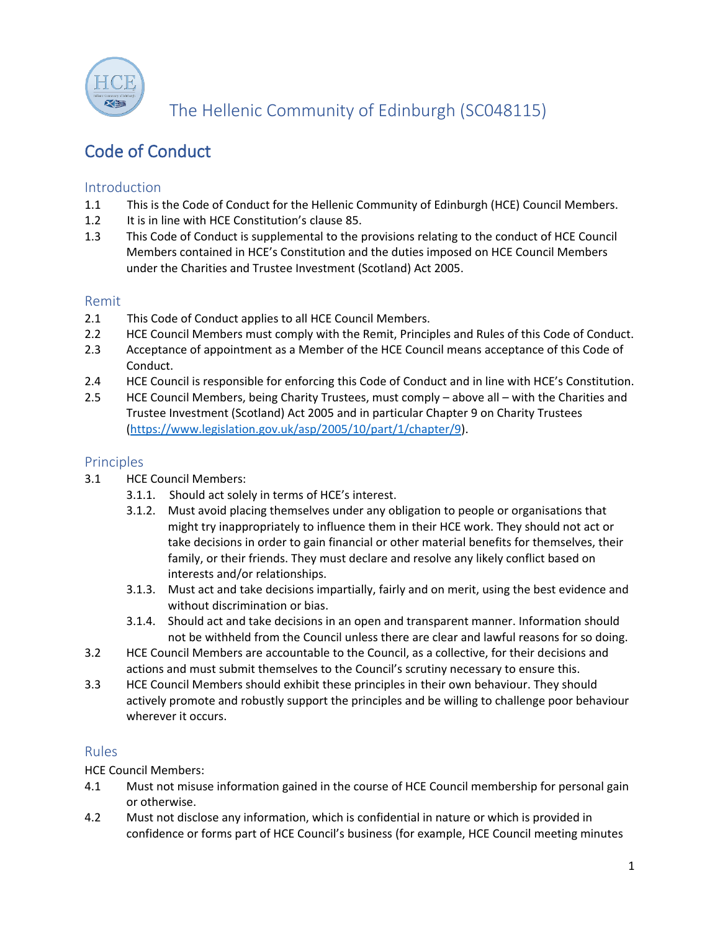

The Hellenic Community of Edinburgh (SC048115)

# Code of Conduct

## Introduction

- 1.1 This is the Code of Conduct for the Hellenic Community of Edinburgh (HCE) Council Members.
- 1.2 It is in line with HCE Constitution's clause 85.
- 1.3 This Code of Conduct is supplemental to the provisions relating to the conduct of HCE Council Members contained in HCE's Constitution and the duties imposed on HCE Council Members under the Charities and Trustee Investment (Scotland) Act 2005.

#### Remit

- 2.1 This Code of Conduct applies to all HCE Council Members.
- 2.2 HCE Council Members must comply with the Remit, Principles and Rules of this Code of Conduct.
- 2.3 Acceptance of appointment as a Member of the HCE Council means acceptance of this Code of Conduct.
- 2.4 HCE Council is responsible for enforcing this Code of Conduct and in line with HCE's Constitution.
- 2.5 HCE Council Members, being Charity Trustees, must comply above all with the Charities and Trustee Investment (Scotland) Act 2005 and in particular Chapter 9 on Charity Trustees [\(https://www.legislation.gov.uk/asp/2005/10/part/1/chapter/9\)](https://www.legislation.gov.uk/asp/2005/10/part/1/chapter/9).

#### Principles

- 3.1 HCE Council Members:
	- 3.1.1. Should act solely in terms of HCE's interest.
	- 3.1.2. Must avoid placing themselves under any obligation to people or organisations that might try inappropriately to influence them in their HCE work. They should not act or take decisions in order to gain financial or other material benefits for themselves, their family, or their friends. They must declare and resolve any likely conflict based on interests and/or relationships.
	- 3.1.3. Must act and take decisions impartially, fairly and on merit, using the best evidence and without discrimination or bias.
	- 3.1.4. Should act and take decisions in an open and transparent manner. Information should not be withheld from the Council unless there are clear and lawful reasons for so doing.
- 3.2 HCE Council Members are accountable to the Council, as a collective, for their decisions and actions and must submit themselves to the Council's scrutiny necessary to ensure this.
- 3.3 HCE Council Members should exhibit these principles in their own behaviour. They should actively promote and robustly support the principles and be willing to challenge poor behaviour wherever it occurs.

## Rules

HCE Council Members:

- 4.1 Must not misuse information gained in the course of HCE Council membership for personal gain or otherwise.
- 4.2 Must not disclose any information, which is confidential in nature or which is provided in confidence or forms part of HCE Council's business (for example, HCE Council meeting minutes